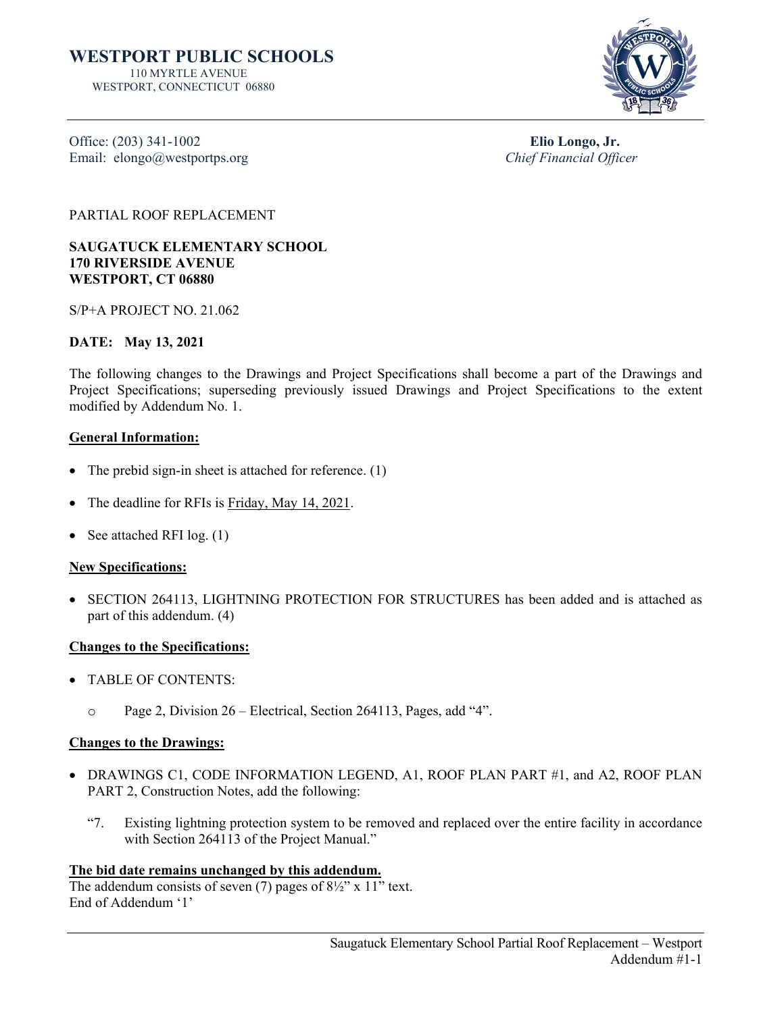

Office: (203) 341-1002<br>
Elio Longo, Jr.<br>
Elio Longo, Jr.<br>
Chief Financial Officer Email: elongo@westportps.org

PARTIAL ROOF REPLACEMENT

**SAUGATUCK ELEMENTARY SCHOOL 170 RIVERSIDE AVENUE WESTPORT, CT 06880**

S/P+A PROJECT NO. 21.062

# **DATE: May 13, 2021**

The following changes to the Drawings and Project Specifications shall become a part of the Drawings and Project Specifications; superseding previously issued Drawings and Project Specifications to the extent modified by Addendum No. 1.

# **General Information:**

- The prebid sign-in sheet is attached for reference. (1)
- The deadline for RFIs is Friday, May 14, 2021.
- See attached RFI log. (1)

# **New Specifications:**

• SECTION 264113, LIGHTNING PROTECTION FOR STRUCTURES has been added and is attached as part of this addendum. (4)

# **Changes to the Specifications:**

- TABLE OF CONTENTS:
	- o Page 2, Division 26 Electrical, Section 264113, Pages, add "4".

# **Changes to the Drawings:**

- DRAWINGS C1, CODE INFORMATION LEGEND, A1, ROOF PLAN PART #1, and A2, ROOF PLAN PART 2, Construction Notes, add the following:
	- "7. Existing lightning protection system to be removed and replaced over the entire facility in accordance with Section 264113 of the Project Manual."

# **The bid date remains unchanged by this addendum.**

The addendum consists of seven (7) pages of  $8\frac{1}{2}$ " x 11" text. End of Addendum '1'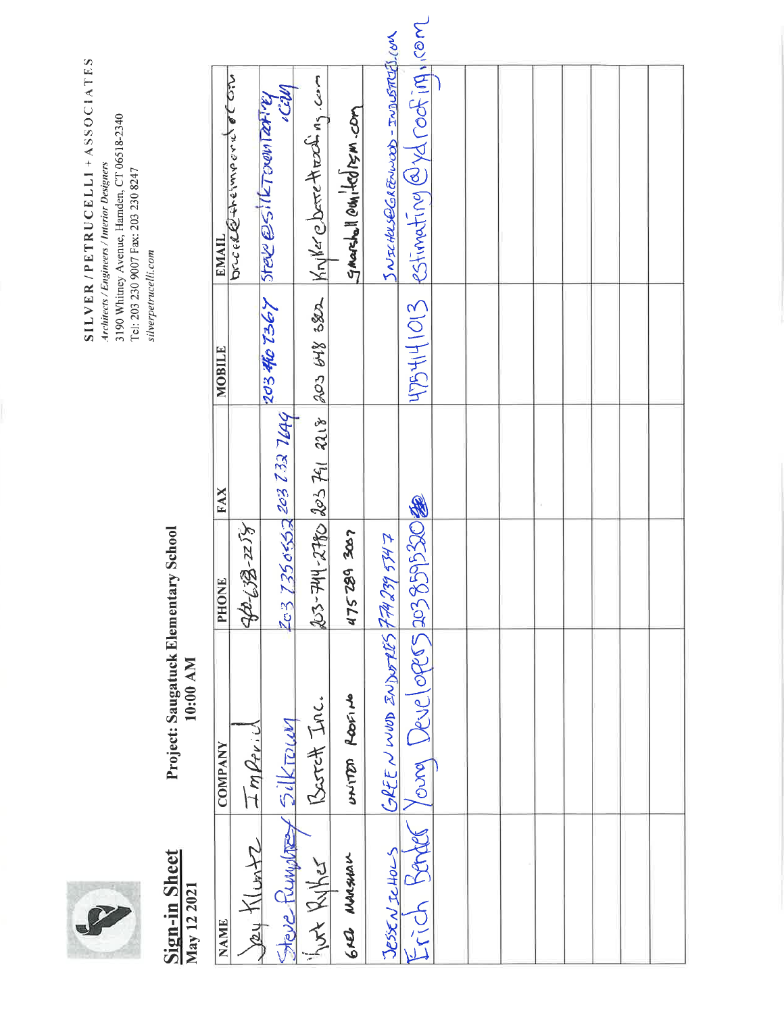

# Sign-in Sheet<br>May 12 2021

**Project: Saugatuck Elementary School**<br>10:00 AM

| <b>EMAIL</b>   | Drucellethelmport of City | Mp. 10.1000 Lape 2021 1921 01 202 | $203-744-2780$ $203$ $761$ $2118$ $203$ $648$ $382$ $\frac{1}{101}$ $\frac{1}{102}$ $\frac{1}{102}$ $\frac{1}{102}$ $\frac{1}{102}$ | Smarsholl even ted is m.com | JNICHUSOGREENWOOD-INDUSTRIALION                                               | 4754141013 Postimating@ydroofing/rom |  |  |  |  |
|----------------|---------------------------|-----------------------------------|-------------------------------------------------------------------------------------------------------------------------------------|-----------------------------|-------------------------------------------------------------------------------|--------------------------------------|--|--|--|--|
| <b>MOBILE</b>  |                           |                                   |                                                                                                                                     |                             |                                                                               |                                      |  |  |  |  |
| <b>FAX</b>     |                           | 203 73506552 203 732 7649         |                                                                                                                                     |                             |                                                                               |                                      |  |  |  |  |
| PHONE          | 40-689-258                |                                   |                                                                                                                                     | 475289 3067                 |                                                                               |                                      |  |  |  |  |
| <b>COMPANY</b> |                           |                                   | Barch Inc.                                                                                                                          | anited feating              | JESSEN JeHOLS GREEN WWD ZNDWFRSY FARISY 5147<br>GREENWOD ZNDUTRY FAR 239 5747 |                                      |  |  |  |  |
| <b>NAME</b>    | Sey Kluntz Imprid         |                                   | Here Rumptre Silkroum<br>Just Ruther                                                                                                | GRED NUMBIAN                |                                                                               |                                      |  |  |  |  |

SILVER/PETRUCELLI+ASSOCIATES Architects/Engineers/Interior Designers<br>3190 Whitney Avenue, Hamden, CT 06518-2340<br>Tel: 203 230 9007 Fax: 203 230 8247 silverpetrucelli.com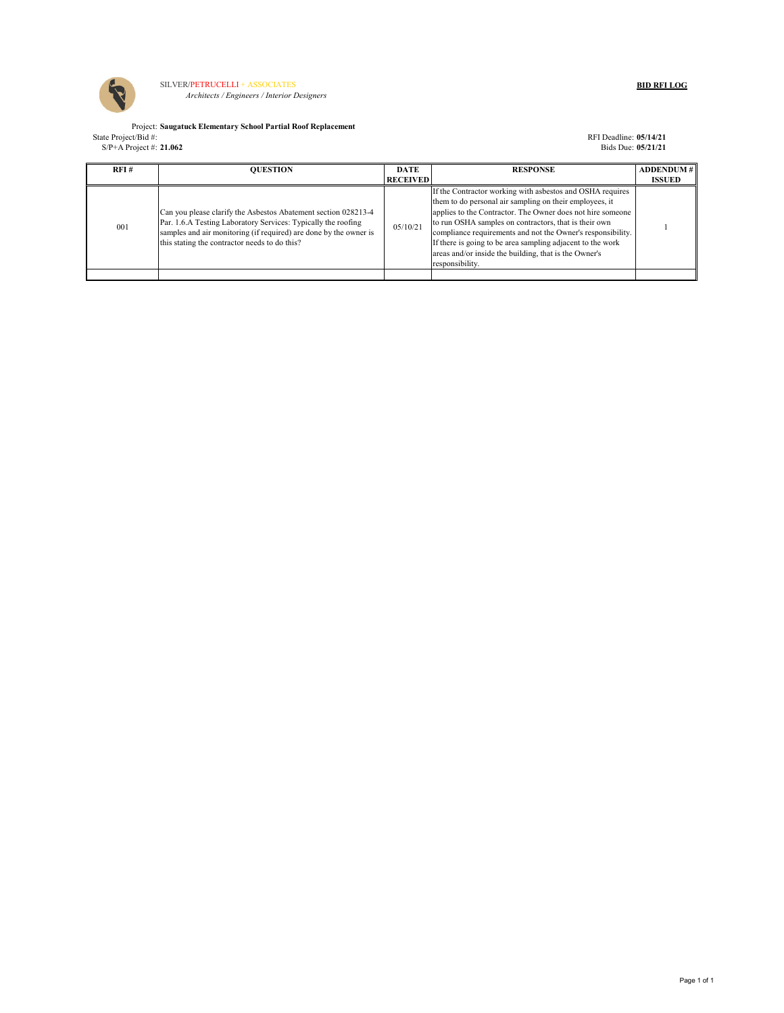

SILVER/PETRUCELLI + ASSOCIATES **BID RFI LOG**  *Architects / Engineers / Interior Designers*

Project: **Saugatuck Elementary School Partial Roof Replacement** State Project/Bid #: **RFI Deadline: <b>05/14/21 RFI** Deadline: **05/14/21** 

S/P+A Project #: **21.062** Bids Due: **05/21/21**

| RFI# | <b>OUESTION</b>                                                                                                                                                                                                                                       | <b>DATE</b><br><b>RECEIVED</b> | <b>RESPONSE</b>                                                                                                                                                                                                                                                                                                                                                                                                                                      | <b>ADDENDUM#</b><br><b>ISSUED</b> |
|------|-------------------------------------------------------------------------------------------------------------------------------------------------------------------------------------------------------------------------------------------------------|--------------------------------|------------------------------------------------------------------------------------------------------------------------------------------------------------------------------------------------------------------------------------------------------------------------------------------------------------------------------------------------------------------------------------------------------------------------------------------------------|-----------------------------------|
| 001  | Can you please clarify the Asbestos Abatement section 028213-4<br>Par. 1.6.A Testing Laboratory Services: Typically the roofing<br>samples and air monitoring (if required) are done by the owner is<br>this stating the contractor needs to do this? | 05/10/21                       | If the Contractor working with asbestos and OSHA requires<br>them to do personal air sampling on their employees, it<br>applies to the Contractor. The Owner does not hire someone<br>to run OSHA samples on contractors, that is their own<br>compliance requirements and not the Owner's responsibility.<br>If there is going to be area sampling adjacent to the work<br>areas and/or inside the building, that is the Owner's<br>responsibility. |                                   |
|      |                                                                                                                                                                                                                                                       |                                |                                                                                                                                                                                                                                                                                                                                                                                                                                                      |                                   |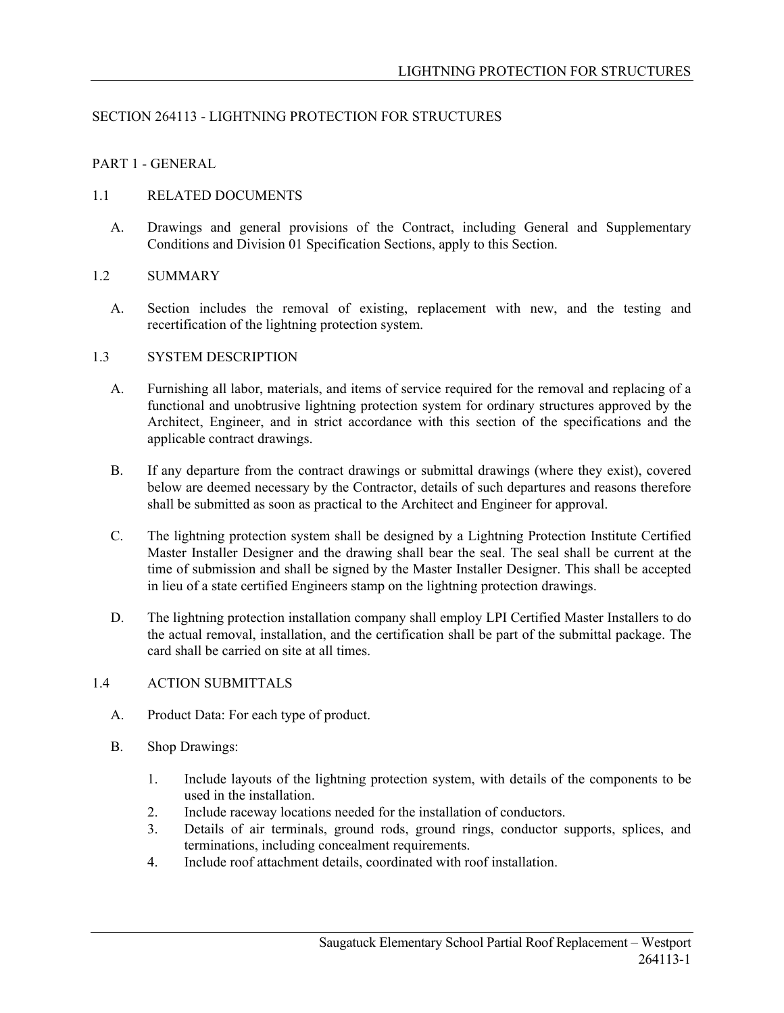# SECTION 264113 - LIGHTNING PROTECTION FOR STRUCTURES

## PART 1 - GENERAL

## 1.1 RELATED DOCUMENTS

A. Drawings and general provisions of the Contract, including General and Supplementary Conditions and Division 01 Specification Sections, apply to this Section.

## 1.2 SUMMARY

A. Section includes the removal of existing, replacement with new, and the testing and recertification of the lightning protection system.

## 1.3 SYSTEM DESCRIPTION

- A. Furnishing all labor, materials, and items of service required for the removal and replacing of a functional and unobtrusive lightning protection system for ordinary structures approved by the Architect, Engineer, and in strict accordance with this section of the specifications and the applicable contract drawings.
- B. If any departure from the contract drawings or submittal drawings (where they exist), covered below are deemed necessary by the Contractor, details of such departures and reasons therefore shall be submitted as soon as practical to the Architect and Engineer for approval.
- C. The lightning protection system shall be designed by a Lightning Protection Institute Certified Master Installer Designer and the drawing shall bear the seal. The seal shall be current at the time of submission and shall be signed by the Master Installer Designer. This shall be accepted in lieu of a state certified Engineers stamp on the lightning protection drawings.
- D. The lightning protection installation company shall employ LPI Certified Master Installers to do the actual removal, installation, and the certification shall be part of the submittal package. The card shall be carried on site at all times.

# 1.4 ACTION SUBMITTALS

- A. Product Data: For each type of product.
- B. Shop Drawings:
	- 1. Include layouts of the lightning protection system, with details of the components to be used in the installation.
	- 2. Include raceway locations needed for the installation of conductors.
	- 3. Details of air terminals, ground rods, ground rings, conductor supports, splices, and terminations, including concealment requirements.
	- 4. Include roof attachment details, coordinated with roof installation.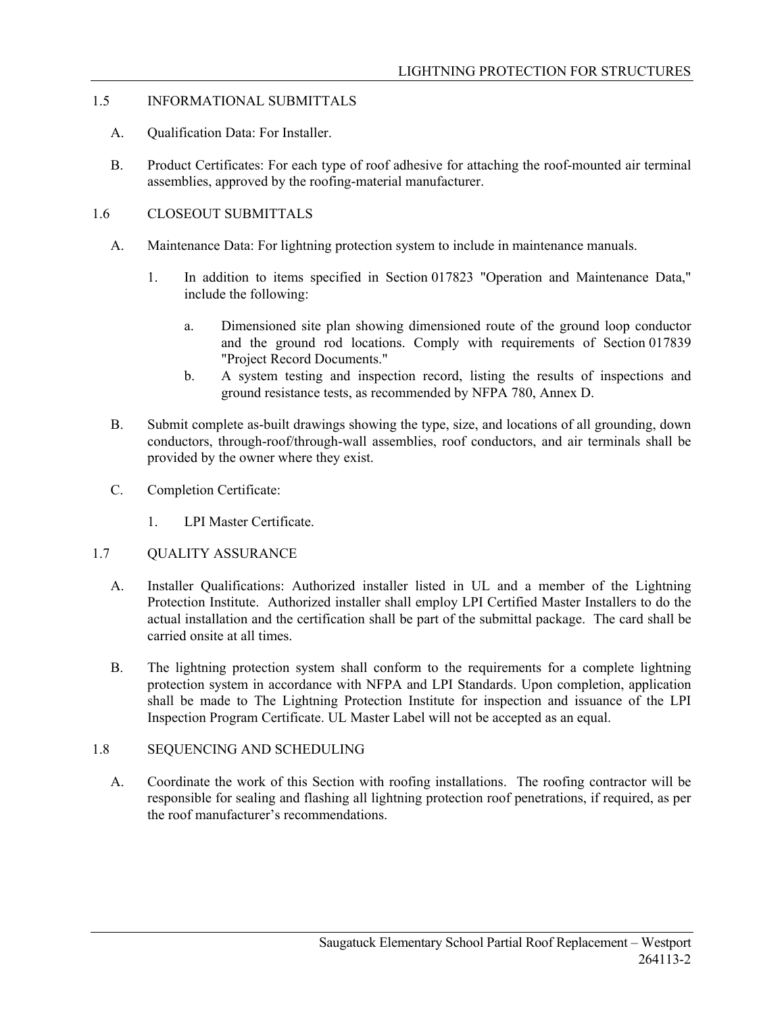## 1.5 INFORMATIONAL SUBMITTALS

- A. Qualification Data: For Installer.
- B. Product Certificates: For each type of roof adhesive for attaching the roof-mounted air terminal assemblies, approved by the roofing-material manufacturer.

## 1.6 CLOSEOUT SUBMITTALS

- A. Maintenance Data: For lightning protection system to include in maintenance manuals.
	- 1. In addition to items specified in Section 017823 "Operation and Maintenance Data," include the following:
		- a. Dimensioned site plan showing dimensioned route of the ground loop conductor and the ground rod locations. Comply with requirements of Section 017839 "Project Record Documents."
		- b. A system testing and inspection record, listing the results of inspections and ground resistance tests, as recommended by NFPA 780, Annex D.
- B. Submit complete as-built drawings showing the type, size, and locations of all grounding, down conductors, through-roof/through-wall assemblies, roof conductors, and air terminals shall be provided by the owner where they exist.
- C. Completion Certificate:
	- 1. LPI Master Certificate.

## 1.7 QUALITY ASSURANCE

- A. Installer Qualifications: Authorized installer listed in UL and a member of the Lightning Protection Institute. Authorized installer shall employ LPI Certified Master Installers to do the actual installation and the certification shall be part of the submittal package. The card shall be carried onsite at all times.
- B. The lightning protection system shall conform to the requirements for a complete lightning protection system in accordance with NFPA and LPI Standards. Upon completion, application shall be made to The Lightning Protection Institute for inspection and issuance of the LPI Inspection Program Certificate. UL Master Label will not be accepted as an equal.

# 1.8 SEQUENCING AND SCHEDULING

A. Coordinate the work of this Section with roofing installations. The roofing contractor will be responsible for sealing and flashing all lightning protection roof penetrations, if required, as per the roof manufacturer's recommendations.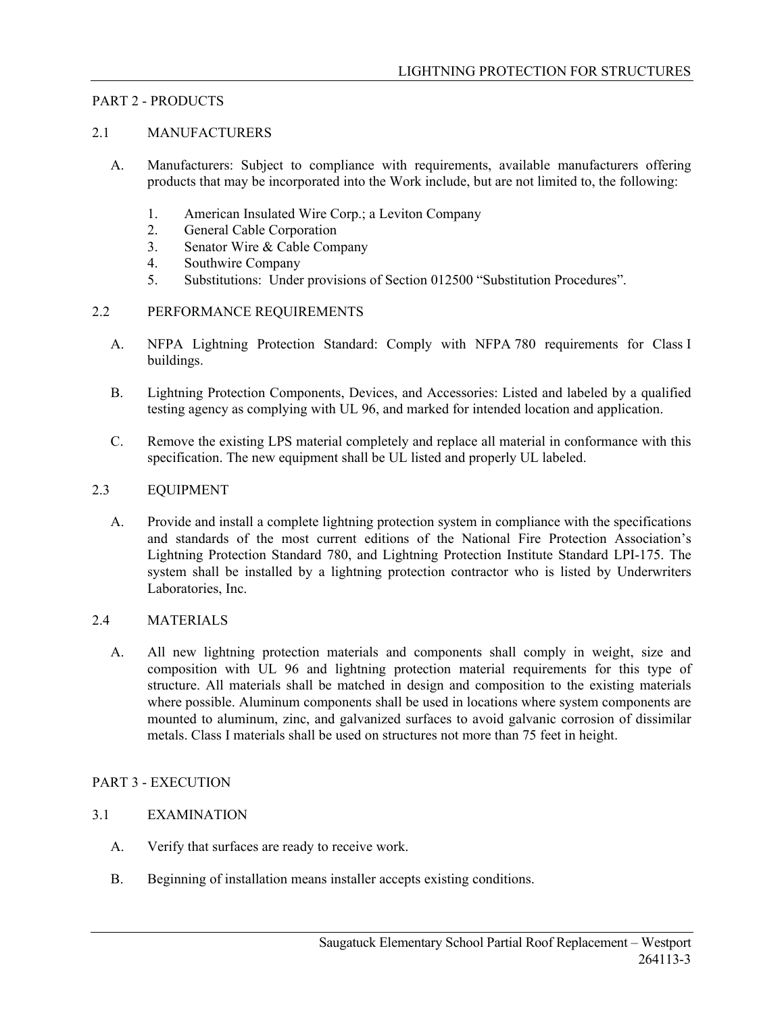## PART 2 - PRODUCTS

## 2.1 MANUFACTURERS

- A. Manufacturers: Subject to compliance with requirements, available manufacturers offering products that may be incorporated into the Work include, but are not limited to, the following:
	- 1. American Insulated Wire Corp.; a Leviton Company
	- 2. General Cable Corporation
	- 3. Senator Wire & Cable Company
	- 4. Southwire Company
	- 5. Substitutions: Under provisions of Section 012500 "Substitution Procedures".

## 2.2 PERFORMANCE REQUIREMENTS

- A. NFPA Lightning Protection Standard: Comply with NFPA 780 requirements for Class I buildings.
- B. Lightning Protection Components, Devices, and Accessories: Listed and labeled by a qualified testing agency as complying with UL 96, and marked for intended location and application.
- C. Remove the existing LPS material completely and replace all material in conformance with this specification. The new equipment shall be UL listed and properly UL labeled.

## 2.3 EQUIPMENT

A. Provide and install a complete lightning protection system in compliance with the specifications and standards of the most current editions of the National Fire Protection Association's Lightning Protection Standard 780, and Lightning Protection Institute Standard LPI-175. The system shall be installed by a lightning protection contractor who is listed by Underwriters Laboratories, Inc.

## 2.4 MATERIALS

A. All new lightning protection materials and components shall comply in weight, size and composition with UL 96 and lightning protection material requirements for this type of structure. All materials shall be matched in design and composition to the existing materials where possible. Aluminum components shall be used in locations where system components are mounted to aluminum, zinc, and galvanized surfaces to avoid galvanic corrosion of dissimilar metals. Class I materials shall be used on structures not more than 75 feet in height.

#### PART 3 - EXECUTION

# 3.1 EXAMINATION

- A. Verify that surfaces are ready to receive work.
- B. Beginning of installation means installer accepts existing conditions.